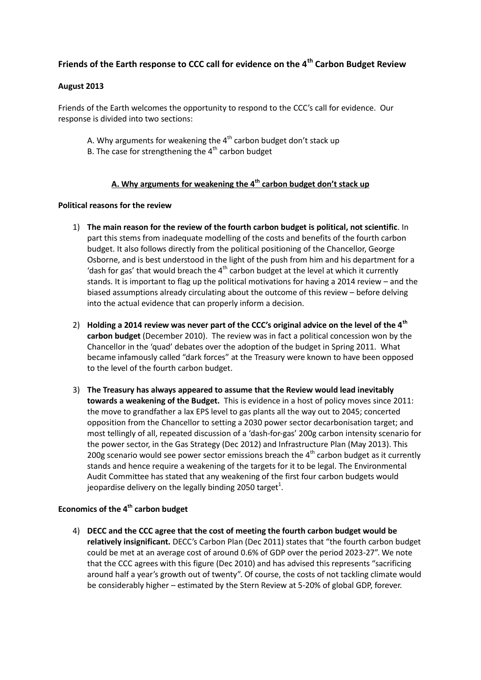# **Friends of the Earth response to CCC call for evidence on the 4th Carbon Budget Review**

### **August 2013**

Friends of the Earth welcomes the opportunity to respond to the CCC's call for evidence. Our response is divided into two sections:

- A. Why arguments for weakening the  $4<sup>th</sup>$  carbon budget don't stack up
- B. The case for strengthening the  $4<sup>th</sup>$  carbon budget

### **A. Why arguments for weakening the 4th carbon budget don't stack up**

#### **Political reasons for the review**

- 1) **The main reason for the review of the fourth carbon budget is political, not scientific**. In part this stems from inadequate modelling of the costs and benefits of the fourth carbon budget. It also follows directly from the political positioning of the Chancellor, George Osborne, and is best understood in the light of the push from him and his department for a 'dash for gas' that would breach the  $4<sup>th</sup>$  carbon budget at the level at which it currently stands. It is important to flag up the political motivations for having a 2014 review – and the biased assumptions already circulating about the outcome of this review – before delving into the actual evidence that can properly inform a decision.
- 2) **Holding a 2014 review was never part of the CCC's original advice on the level of the 4th carbon budget** (December 2010). The review was in fact a political concession won by the Chancellor in the 'quad' debates over the adoption of the budget in Spring 2011. What became infamously called "dark forces" at the Treasury were known to have been opposed to the level of the fourth carbon budget.
- 3) **The Treasury has always appeared to assume that the Review would lead inevitably towards a weakening of the Budget.** This is evidence in a host of policy moves since 2011: the move to grandfather a lax EPS level to gas plants all the way out to 2045; concerted opposition from the Chancellor to setting a 2030 power sector decarbonisation target; and most tellingly of all, repeated discussion of a 'dash-for-gas' 200g carbon intensity scenario for the power sector, in the Gas Strategy (Dec 2012) and Infrastructure Plan (May 2013). This 200g scenario would see power sector emissions breach the  $4<sup>th</sup>$  carbon budget as it currently stands and hence require a weakening of the targets for it to be legal. The Environmental Audit Committee has stated that any weakening of the first four carbon budgets would jeopardise delivery on the legally binding 2050 target<sup>1</sup>.

## **Economics of the 4th carbon budget**

4) **DECC and the CCC agree that the cost of meeting the fourth carbon budget would be relatively insignificant.** DECC's Carbon Plan (Dec 2011) states that "the fourth carbon budget could be met at an average cost of around 0.6% of GDP over the period 2023-27". We note that the CCC agrees with this figure (Dec 2010) and has advised this represents "sacrificing around half a year's growth out of twenty". Of course, the costs of not tackling climate would be considerably higher – estimated by the Stern Review at 5-20% of global GDP, forever.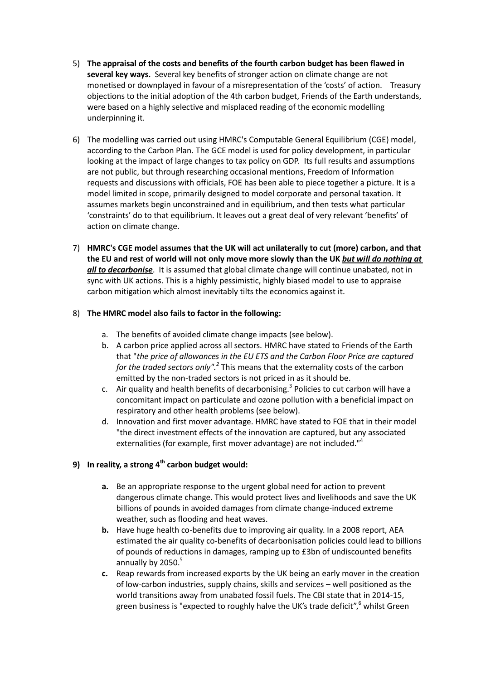- 5) **The appraisal of the costs and benefits of the fourth carbon budget has been flawed in several key ways.** Several key benefits of stronger action on climate change are not monetised or downplayed in favour of a misrepresentation of the 'costs' of action. Treasury objections to the initial adoption of the 4th carbon budget, Friends of the Earth understands, were based on a highly selective and misplaced reading of the economic modelling underpinning it.
- 6) The modelling was carried out using HMRC's Computable General Equilibrium (CGE) model, according to the Carbon Plan. The GCE model is used for policy development, in particular looking at the impact of large changes to tax policy on GDP. Its full results and assumptions are not public, but through researching occasional mentions, Freedom of Information requests and discussions with officials, FOE has been able to piece together a picture. It is a model limited in scope, primarily designed to model corporate and personal taxation. It assumes markets begin unconstrained and in equilibrium, and then tests what particular 'constraints' do to that equilibrium. It leaves out a great deal of very relevant 'benefits' of action on climate change.
- 7) **HMRC's CGE model assumes that the UK will act unilaterally to cut (more) carbon, and that the EU and rest of world will not only move more slowly than the UK** *but will do nothing at all to decarbonise*. It is assumed that global climate change will continue unabated, not in sync with UK actions. This is a highly pessimistic, highly biased model to use to appraise carbon mitigation which almost inevitably tilts the economics against it.

### 8) **The HMRC model also fails to factor in the following:**

- a. The benefits of avoided climate change impacts (see below).
- b. A carbon price applied across all sectors. HMRC have stated to Friends of the Earth that "*the price of allowances in the EU ETS and the Carbon Floor Price are captured*  for the traded sectors only".<sup>2</sup> This means that the externality costs of the carbon emitted by the non-traded sectors is not priced in as it should be.
- c. Air quality and health benefits of decarbonising.<sup>3</sup> Policies to cut carbon will have a concomitant impact on particulate and ozone pollution with a beneficial impact on respiratory and other health problems (see below).
- d. Innovation and first mover advantage. HMRC have stated to FOE that in their model "the direct investment effects of the innovation are captured, but any associated externalities (for example, first mover advantage) are not included."<sup>4</sup>

## **9) In reality, a strong 4th carbon budget would:**

- **a.** Be an appropriate response to the urgent global need for action to prevent dangerous climate change. This would protect lives and livelihoods and save the UK billions of pounds in avoided damages from climate change-induced extreme weather, such as flooding and heat waves.
- **b.** Have huge health co-benefits due to improving air quality. In a 2008 report, AEA estimated the air quality co-benefits of decarbonisation policies could lead to billions of pounds of reductions in damages, ramping up to £3bn of undiscounted benefits annually by  $2050.<sup>5</sup>$
- **c.** Reap rewards from increased exports by the UK being an early mover in the creation of low-carbon industries, supply chains, skills and services – well positioned as the world transitions away from unabated fossil fuels. The CBI state that in 2014-15, green business is "expected to roughly halve the UK's trade deficit",<sup>6</sup> whilst Green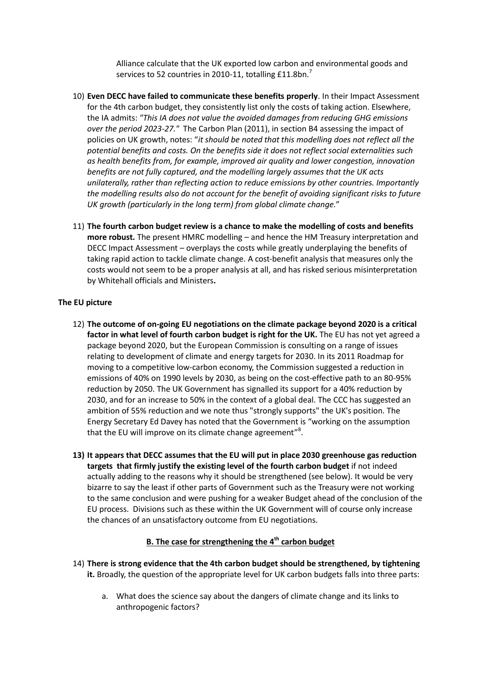Alliance calculate that the UK exported low carbon and environmental goods and services to 52 countries in 2010-11, totalling £11.8bn.<sup>7</sup>

- 10) **Even DECC have failed to communicate these benefits properly**. In their Impact Assessment for the 4th carbon budget, they consistently list only the costs of taking action. Elsewhere, the IA admits: *"This IA does not value the avoided damages from reducing GHG emissions over the period 2023-27."* The Carbon Plan (2011), in section B4 assessing the impact of policies on UK growth, notes: "*it should be noted that this modelling does not reflect all the potential benefits and costs. On the benefits side it does not reflect social externalities such as health benefits from, for example, improved air quality and lower congestion, innovation benefits are not fully captured, and the modelling largely assumes that the UK acts unilaterally, rather than reflecting action to reduce emissions by other countries. Importantly the modelling results also do not account for the benefit of avoiding significant risks to future UK growth (particularly in the long term) from global climate change."*
- 11) **The fourth carbon budget review is a chance to make the modelling of costs and benefits more robust.** The present HMRC modelling – and hence the HM Treasury interpretation and DECC Impact Assessment – overplays the costs while greatly underplaying the benefits of taking rapid action to tackle climate change. A cost-benefit analysis that measures only the costs would not seem to be a proper analysis at all, and has risked serious misinterpretation by Whitehall officials and Ministers**.**

#### **The EU picture**

- 12) **The outcome of on-going EU negotiations on the climate package beyond 2020 is a critical factor in what level of fourth carbon budget is right for the UK.** The EU has not yet agreed a package beyond 2020, but the European Commission is consulting on a range of issues relating to development of climate and energy targets for 2030. In its 2011 Roadmap for moving to a competitive low-carbon economy, the Commission suggested a reduction in emissions of 40% on 1990 levels by 2030, as being on the cost-effective path to an 80-95% reduction by 2050. The UK Government has signalled its support for a 40% reduction by 2030, and for an increase to 50% in the context of a global deal. The CCC has suggested an ambition of 55% reduction and we note thus "strongly supports" the UK's position. The Energy Secretary Ed Davey has noted that the Government is "working on the assumption that the EU will improve on its climate change agreement"<sup>8</sup>.
- **13) It appears that DECC assumes that the EU will put in place 2030 greenhouse gas reduction targets that firmly justify the existing level of the fourth carbon budget** if not indeed actually adding to the reasons why it should be strengthened (see below). It would be very bizarre to say the least if other parts of Government such as the Treasury were not working to the same conclusion and were pushing for a weaker Budget ahead of the conclusion of the EU process. Divisions such as these within the UK Government will of course only increase the chances of an unsatisfactory outcome from EU negotiations.

### **B. The case for strengthening the 4 th carbon budget**

- 14) **There is strong evidence that the 4th carbon budget should be strengthened, by tightening it.** Broadly, the question of the appropriate level for UK carbon budgets falls into three parts:
	- a. What does the science say about the dangers of climate change and its links to anthropogenic factors?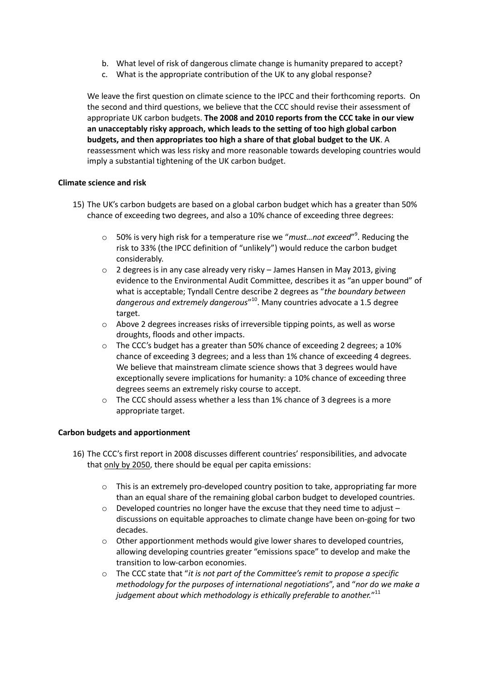- b. What level of risk of dangerous climate change is humanity prepared to accept?
- c. What is the appropriate contribution of the UK to any global response?

We leave the first question on climate science to the IPCC and their forthcoming reports. On the second and third questions, we believe that the CCC should revise their assessment of appropriate UK carbon budgets. **The 2008 and 2010 reports from the CCC take in our view an unacceptably risky approach, which leads to the setting of too high global carbon budgets, and then appropriates too high a share of that global budget to the UK**. A reassessment which was less risky and more reasonable towards developing countries would imply a substantial tightening of the UK carbon budget.

#### **Climate science and risk**

- 15) The UK's carbon budgets are based on a global carbon budget which has a greater than 50% chance of exceeding two degrees, and also a 10% chance of exceeding three degrees:
	- o 50% is very high risk for a temperature rise we "*must…not exceed*" 9 . Reducing the risk to 33% (the IPCC definition of "unlikely") would reduce the carbon budget considerably.
	- $\circ$  2 degrees is in any case already very risky James Hansen in May 2013, giving evidence to the Environmental Audit Committee, describes it as "an upper bound" of what is acceptable; Tyndall Centre describe 2 degrees as "*the boundary between dangerous and extremely dangerous*" <sup>10</sup>. Many countries advocate a 1.5 degree target.
	- $\circ$  Above 2 degrees increases risks of irreversible tipping points, as well as worse droughts, floods and other impacts.
	- o The CCC's budget has a greater than 50% chance of exceeding 2 degrees; a 10% chance of exceeding 3 degrees; and a less than 1% chance of exceeding 4 degrees. We believe that mainstream climate science shows that 3 degrees would have exceptionally severe implications for humanity: a 10% chance of exceeding three degrees seems an extremely risky course to accept.
	- o The CCC should assess whether a less than 1% chance of 3 degrees is a more appropriate target.

#### **Carbon budgets and apportionment**

- 16) The CCC's first report in 2008 discusses different countries' responsibilities, and advocate that only by 2050, there should be equal per capita emissions:
	- $\circ$  This is an extremely pro-developed country position to take, appropriating far more than an equal share of the remaining global carbon budget to developed countries.
	- o Developed countries no longer have the excuse that they need time to adjust discussions on equitable approaches to climate change have been on-going for two decades.
	- $\circ$  Other apportionment methods would give lower shares to developed countries, allowing developing countries greater "emissions space" to develop and make the transition to low-carbon economies.
	- o The CCC state that "*it is not part of the Committee's remit to propose a specific methodology for the purposes of international negotiations*", and "*nor do we make a judgement about which methodology is ethically preferable to another.*" 11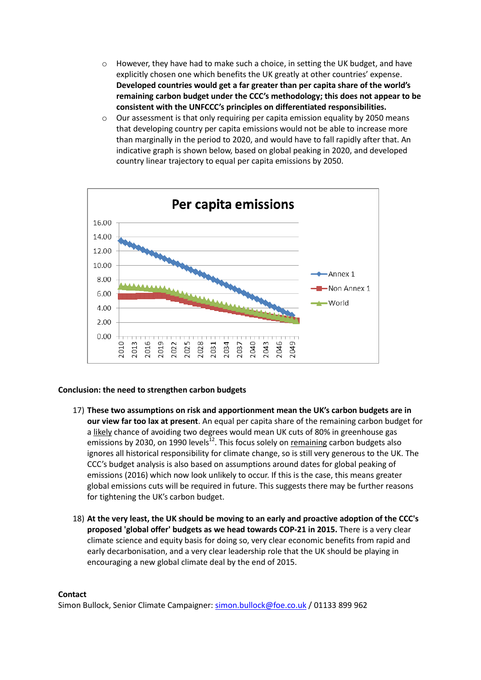- $\circ$  However, they have had to make such a choice, in setting the UK budget, and have explicitly chosen one which benefits the UK greatly at other countries' expense. **Developed countries would get a far greater than per capita share of the world's remaining carbon budget under the CCC's methodology; this does not appear to be consistent with the UNFCCC's principles on differentiated responsibilities.**
- $\circ$  Our assessment is that only requiring per capita emission equality by 2050 means that developing country per capita emissions would not be able to increase more than marginally in the period to 2020, and would have to fall rapidly after that. An indicative graph is shown below, based on global peaking in 2020, and developed country linear trajectory to equal per capita emissions by 2050.



#### **Conclusion: the need to strengthen carbon budgets**

- 17) **These two assumptions on risk and apportionment mean the UK's carbon budgets are in our view far too lax at present**. An equal per capita share of the remaining carbon budget for a likely chance of avoiding two degrees would mean UK cuts of 80% in greenhouse gas emissions by 2030, on 1990 levels $^{12}$ . This focus solely on remaining carbon budgets also ignores all historical responsibility for climate change, so is still very generous to the UK. The CCC's budget analysis is also based on assumptions around dates for global peaking of emissions (2016) which now look unlikely to occur. If this is the case, this means greater global emissions cuts will be required in future. This suggests there may be further reasons for tightening the UK's carbon budget.
- 18) **At the very least, the UK should be moving to an early and proactive adoption of the CCC's proposed 'global offer' budgets as we head towards COP-21 in 2015.** There is a very clear climate science and equity basis for doing so, very clear economic benefits from rapid and early decarbonisation, and a very clear leadership role that the UK should be playing in encouraging a new global climate deal by the end of 2015.

#### **Contact**

Simon Bullock, Senior Climate Campaigner: [simon.bullock@foe.co.uk](mailto:simon.bullock@foe.co.uk) / 01133 899 962